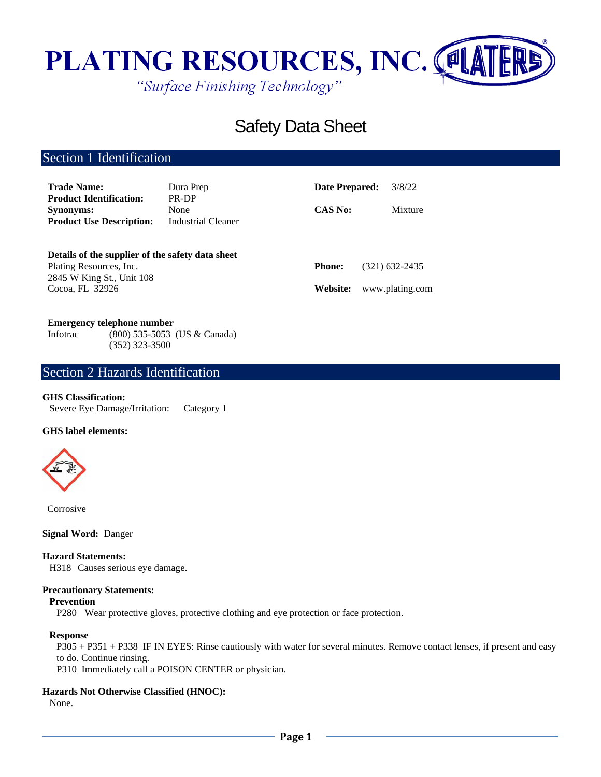

# Safety Data Sheet

# Section 1 Identification

| <b>Trade Name:</b><br><b>Product Identification:</b>                                                     | Dura Prep<br>PR-DP         | Date Prepared: | 3/8/22          |
|----------------------------------------------------------------------------------------------------------|----------------------------|----------------|-----------------|
| <b>Synonyms:</b><br><b>Product Use Description:</b>                                                      | None<br>Industrial Cleaner | <b>CAS No:</b> | Mixture         |
| Details of the supplier of the safety data sheet<br>Plating Resources, Inc.<br>2845 W King St., Unit 108 |                            | <b>Phone:</b>  | (321) 632-2435  |
| Cocoa, FL 32926                                                                                          |                            | Website:       | www.plating.com |

# **Emergency telephone number**

Infotrac (800) 535-5053 (US & Canada) (352) 323-3500

# Section 2 Hazards Identification

### **GHS Classification:**

Severe Eye Damage/Irritation: Category 1

## **GHS label elements:**



Corrosive

**Signal Word:** Danger

# **Hazard Statements:**

H318 Causes serious eye damage.

#### **Precautionary Statements:**

# **Prevention**

P280 Wear protective gloves, protective clothing and eye protection or face protection.

#### **Response**

P305 + P351 + P338 IF IN EYES: Rinse cautiously with water for several minutes. Remove contact lenses, if present and easy to do. Continue rinsing.

P310 Immediately call a POISON CENTER or physician.

## **Hazards Not Otherwise Classified (HNOC):**

None.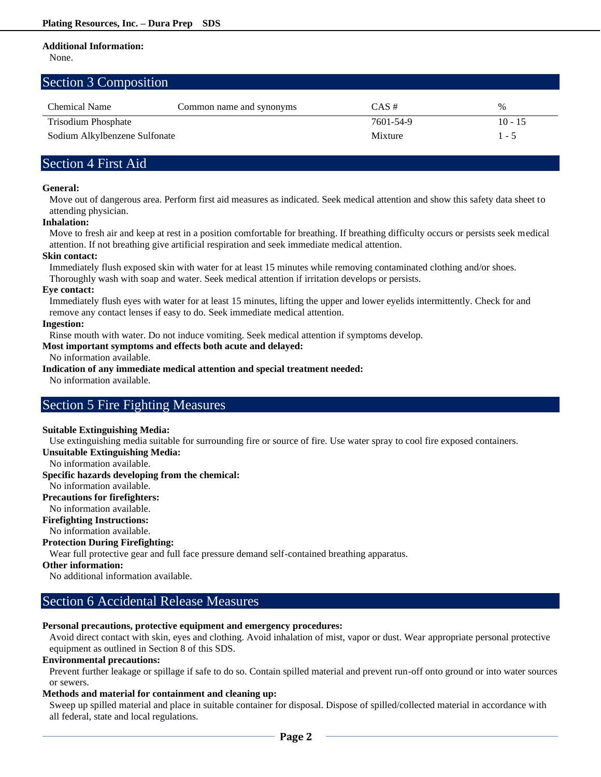# **Additional Information:**

None.

# Section 3 Composition

| <b>Chemical Name</b>          | Common name and synonyms | $CAS \#$  | %         |
|-------------------------------|--------------------------|-----------|-----------|
| Trisodium Phosphate           |                          | 7601-54-9 | $10 - 15$ |
| Sodium Alkylbenzene Sulfonate |                          | Mixture   | $1 - 5$   |

# Section 4 First Aid

## **General:**

Move out of dangerous area. Perform first aid measures as indicated. Seek medical attention and show this safety data sheet to attending physician.

## **Inhalation:**

Move to fresh air and keep at rest in a position comfortable for breathing. If breathing difficulty occurs or persists seek medical attention. If not breathing give artificial respiration and seek immediate medical attention.

## **Skin contact:**

Immediately flush exposed skin with water for at least 15 minutes while removing contaminated clothing and/or shoes. Thoroughly wash with soap and water. Seek medical attention if irritation develops or persists.

### **Eye contact:**

Immediately flush eyes with water for at least 15 minutes, lifting the upper and lower eyelids intermittently. Check for and remove any contact lenses if easy to do. Seek immediate medical attention.

## **Ingestion:**

Rinse mouth with water. Do not induce vomiting. Seek medical attention if symptoms develop.

## **Most important symptoms and effects both acute and delayed:**

No information available.

# **Indication of any immediate medical attention and special treatment needed:**

No information available.

# Section 5 Fire Fighting Measures

### **Suitable Extinguishing Media:**

Use extinguishing media suitable for surrounding fire or source of fire. Use water spray to cool fire exposed containers.

**Unsuitable Extinguishing Media:**

No information available.

**Specific hazards developing from the chemical:**

# No information available.

**Precautions for firefighters:**

No information available.

**Firefighting Instructions:** No information available.

# **Protection During Firefighting:**

Wear full protective gear and full face pressure demand self-contained breathing apparatus.

### **Other information:**

No additional information available.

# Section 6 Accidental Release Measures

# **Personal precautions, protective equipment and emergency procedures:**

Avoid direct contact with skin, eyes and clothing. Avoid inhalation of mist, vapor or dust. Wear appropriate personal protective equipment as outlined in Section 8 of this SDS.

# **Environmental precautions:**

Prevent further leakage or spillage if safe to do so. Contain spilled material and prevent run-off onto ground or into water sources or sewers.

# **Methods and material for containment and cleaning up:**

Sweep up spilled material and place in suitable container for disposal. Dispose of spilled/collected material in accordance with all federal, state and local regulations.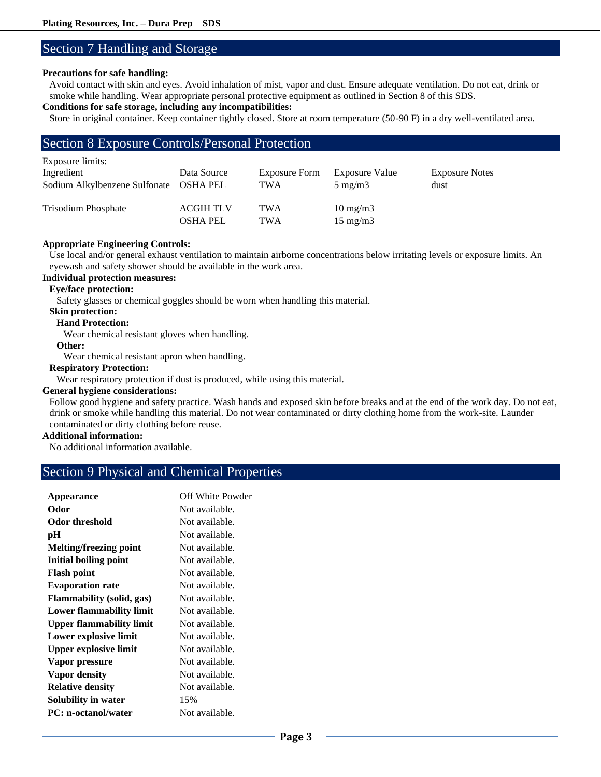# Section 7 Handling and Storage

## **Precautions for safe handling:**

Avoid contact with skin and eyes. Avoid inhalation of mist, vapor and dust. Ensure adequate ventilation. Do not eat, drink or smoke while handling. Wear appropriate personal protective equipment as outlined in Section 8 of this SDS.

# **Conditions for safe storage, including any incompatibilities:**

Store in original container. Keep container tightly closed. Store at room temperature (50-90 F) in a dry well-ventilated area.

# Section 8 Exposure Controls/Personal Protection

| Exposure limits:              |                                     |                   |                                        |                       |
|-------------------------------|-------------------------------------|-------------------|----------------------------------------|-----------------------|
| Ingredient                    | Data Source                         | Exposure Form     | Exposure Value                         | <b>Exposure Notes</b> |
| Sodium Alkylbenzene Sulfonate | OSHA PEL                            | TWA               | $5 \text{ mg/m}$                       | dust                  |
| <b>Trisodium Phosphate</b>    | <b>ACGIH TLV</b><br><b>OSHA PEL</b> | TWA<br><b>TWA</b> | $10 \text{ mg/m}$<br>$15 \text{ mg/m}$ |                       |

## **Appropriate Engineering Controls:**

Use local and/or general exhaust ventilation to maintain airborne concentrations below irritating levels or exposure limits. An eyewash and safety shower should be available in the work area.

# **Individual protection measures:**

# **Eye/face protection:**

Safety glasses or chemical goggles should be worn when handling this material.

# **Skin protection:**

**Hand Protection:**

Wear chemical resistant gloves when handling.

# **Other:**

Wear chemical resistant apron when handling.

## **Respiratory Protection:**

Wear respiratory protection if dust is produced, while using this material.

## **General hygiene considerations:**

Follow good hygiene and safety practice. Wash hands and exposed skin before breaks and at the end of the work day. Do not eat, drink or smoke while handling this material. Do not wear contaminated or dirty clothing home from the work-site. Launder contaminated or dirty clothing before reuse.

# **Additional information:**

No additional information available.

# Section 9 Physical and Chemical Properties

| Appearance                      | Off White Powder |
|---------------------------------|------------------|
| Odor                            | Not available.   |
| Odor threshold                  | Not available.   |
| рH                              | Not available.   |
| Melting/freezing point          | Not available.   |
| Initial boiling point           | Not available.   |
| <b>Flash point</b>              | Not available.   |
| <b>Evaporation rate</b>         | Not available.   |
| Flammability (solid, gas)       | Not available.   |
| Lower flammability limit        | Not available.   |
| <b>Upper flammability limit</b> | Not available.   |
| Lower explosive limit           | Not available.   |
| Upper explosive limit           | Not available.   |
| Vapor pressure                  | Not available.   |
| Vapor density                   | Not available.   |
| <b>Relative density</b>         | Not available.   |
| Solubility in water             | 15%              |
| <b>PC:</b> n-octanol/water      | Not available.   |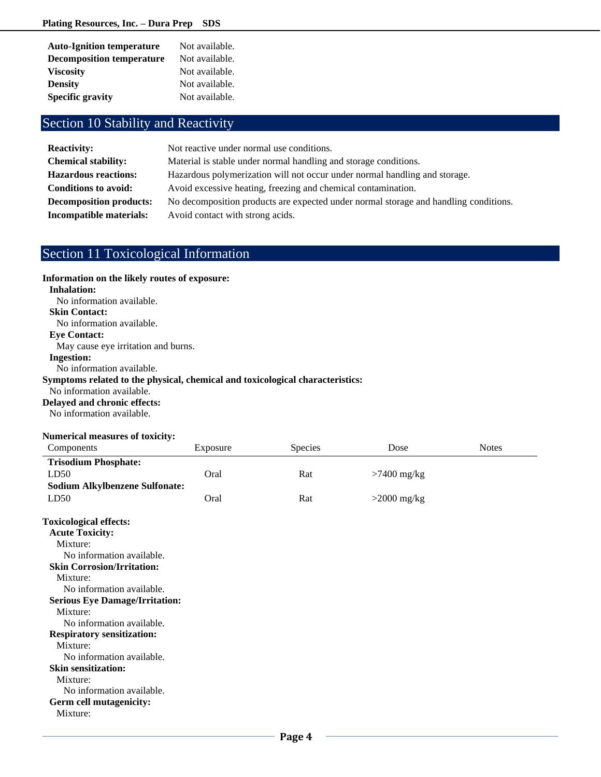| <b>Auto-Ignition temperature</b> | Not available. |
|----------------------------------|----------------|
| <b>Decomposition temperature</b> | Not available. |
| <b>Viscosity</b>                 | Not available. |
| <b>Density</b>                   | Not available. |
| <b>Specific gravity</b>          | Not available. |

# Section 10 Stability and Reactivity

| <b>Reactivity:</b>             | Not reactive under normal use conditions.                                            |
|--------------------------------|--------------------------------------------------------------------------------------|
| <b>Chemical stability:</b>     | Material is stable under normal handling and storage conditions.                     |
| <b>Hazardous reactions:</b>    | Hazardous polymerization will not occur under normal handling and storage.           |
| Conditions to avoid:           | Avoid excessive heating, freezing and chemical contamination.                        |
| <b>Decomposition products:</b> | No decomposition products are expected under normal storage and handling conditions. |
| Incompatible materials:        | Avoid contact with strong acids.                                                     |

# Section 11 Toxicological Information

**Information on the likely routes of exposure:** 

# **Inhalation:** No information available. **Skin Contact:** No information available. **Eye Contact:** May cause eye irritation and burns. **Ingestion:** No information available. **Symptoms related to the physical, chemical and toxicological characteristics:** No information available. **Delayed and chronic effects:** No information available.

### **Numerical measures of toxicity:**

| Components                            | Exposure | <b>Species</b> | Dose          | <b>Notes</b> |
|---------------------------------------|----------|----------------|---------------|--------------|
| <b>Trisodium Phosphate:</b>           |          |                |               |              |
| LD50                                  | Oral     | Rat            | $>7400$ mg/kg |              |
| <b>Sodium Alkylbenzene Sulfonate:</b> |          |                |               |              |
| LD50                                  | Oral     | Rat            | $>2000$ mg/kg |              |
|                                       |          |                |               |              |

| <b>Toxicological effects:</b><br><b>Acute Toxicity:</b> |
|---------------------------------------------------------|
| Mixture:                                                |
| No information available.                               |
| <b>Skin Corrosion/Irritation:</b>                       |
| Mixture:                                                |
| No information available.                               |
| <b>Serious Eye Damage/Irritation:</b>                   |
| Mixture:                                                |
| No information available.                               |
| <b>Respiratory sensitization:</b>                       |
| Mixture:                                                |
| No information available.                               |
| <b>Skin sensitization:</b>                              |
| Mixture:                                                |
| No information available.                               |
| Germ cell mutagenicity:                                 |
| Mixture:                                                |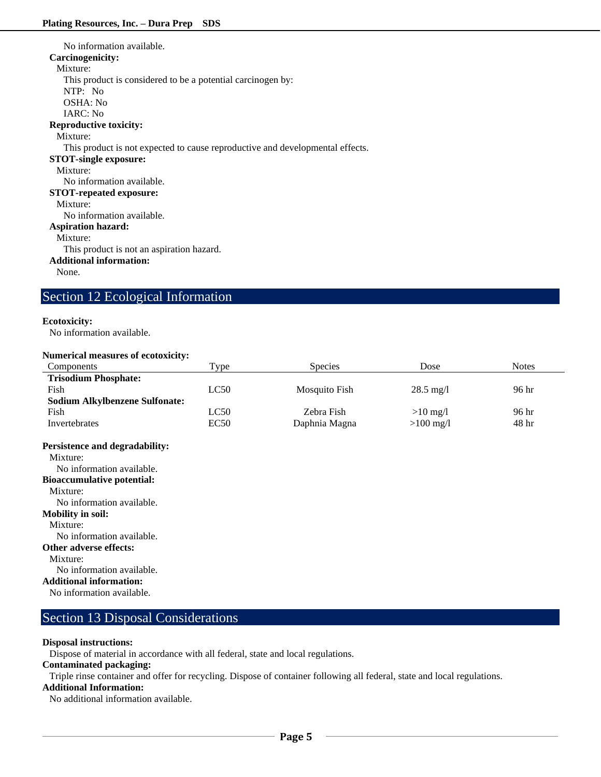No information available. **Carcinogenicity:** Mixture: This product is considered to be a potential carcinogen by: NTP: No OSHA: No IARC: No **Reproductive toxicity:** Mixture: This product is not expected to cause reproductive and developmental effects. **STOT-single exposure:** Mixture: No information available. **STOT-repeated exposure:** Mixture: No information available. **Aspiration hazard:** Mixture: This product is not an aspiration hazard. **Additional information:** None.

# Section 12 Ecological Information

## **Ecotoxicity:**

No information available.

## **Numerical measures of ecotoxicity:**

| Components                            | Type | <b>Species</b> | Dose                | <b>Notes</b>    |
|---------------------------------------|------|----------------|---------------------|-----------------|
| <b>Trisodium Phosphate:</b>           |      |                |                     |                 |
| Fish                                  | LC50 | Mosquito Fish  | $28.5 \text{ mg}/1$ | 96 hr           |
| <b>Sodium Alkylbenzene Sulfonate:</b> |      |                |                     |                 |
| Fish                                  | LC50 | Zebra Fish     | $>10$ mg/l          | 96 hr           |
| Invertebrates                         | EC50 | Daphnia Magna  | $>100$ mg/l         | 48 <sup>h</sup> |
| <b>Persistence and degradability:</b> |      |                |                     |                 |
| Mixture:                              |      |                |                     |                 |
| No information available.             |      |                |                     |                 |
| <b>Bioaccumulative potential:</b>     |      |                |                     |                 |
| Mixture:                              |      |                |                     |                 |
| No information available.             |      |                |                     |                 |

**Mobility in soil:**

Mixture:

No information available.

**Other adverse effects:**

Mixture:

No information available.

**Additional information:**

No information available.

# Section 13 Disposal Considerations

# **Disposal instructions:**

Dispose of material in accordance with all federal, state and local regulations.

# **Contaminated packaging:**

Triple rinse container and offer for recycling. Dispose of container following all federal, state and local regulations.

# **Additional Information:**

No additional information available.